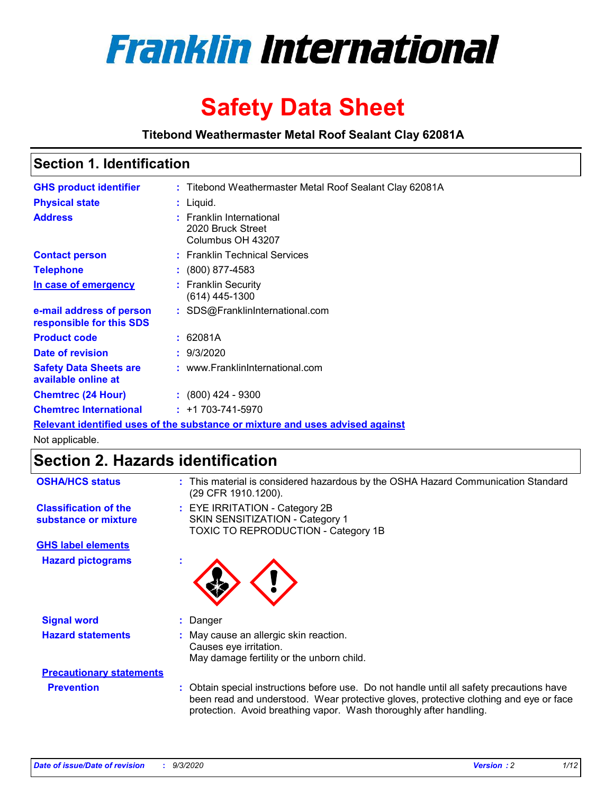

# **Safety Data Sheet**

**Titebond Weathermaster Metal Roof Sealant Clay 62081A**

### **Section 1. Identification**

| <b>GHS product identifier</b>                                                 |  | : Titebond Weathermaster Metal Roof Sealant Clay 62081A            |  |  |
|-------------------------------------------------------------------------------|--|--------------------------------------------------------------------|--|--|
| <b>Physical state</b>                                                         |  | : Liquid.                                                          |  |  |
| <b>Address</b>                                                                |  | : Franklin International<br>2020 Bruck Street<br>Columbus OH 43207 |  |  |
| <b>Contact person</b>                                                         |  | : Franklin Technical Services                                      |  |  |
| <b>Telephone</b>                                                              |  | $: (800) 877-4583$                                                 |  |  |
| In case of emergency                                                          |  | : Franklin Security<br>(614) 445-1300                              |  |  |
| e-mail address of person<br>responsible for this SDS                          |  | : SDS@FranklinInternational.com                                    |  |  |
| <b>Product code</b>                                                           |  | : 62081A                                                           |  |  |
| Date of revision                                                              |  | : 9/3/2020                                                         |  |  |
| <b>Safety Data Sheets are</b><br>available online at                          |  | : www.FranklinInternational.com                                    |  |  |
| <b>Chemtrec (24 Hour)</b>                                                     |  | $: (800)$ 424 - 9300                                               |  |  |
| <b>Chemtrec International</b>                                                 |  | $: +1703 - 741 - 5970$                                             |  |  |
| Relevant identified uses of the substance or mixture and uses advised against |  |                                                                    |  |  |

Not applicable.

## **Section 2. Hazards identification**

| <b>OSHA/HCS status</b>                               |    | : This material is considered hazardous by the OSHA Hazard Communication Standard<br>(29 CFR 1910.1200).                                                                                                                                                 |
|------------------------------------------------------|----|----------------------------------------------------------------------------------------------------------------------------------------------------------------------------------------------------------------------------------------------------------|
| <b>Classification of the</b><br>substance or mixture |    | : EYE IRRITATION - Category 2B<br>SKIN SENSITIZATION - Category 1<br>TOXIC TO REPRODUCTION - Category 1B                                                                                                                                                 |
| <b>GHS label elements</b>                            |    |                                                                                                                                                                                                                                                          |
| <b>Hazard pictograms</b>                             | ٠  |                                                                                                                                                                                                                                                          |
| <b>Signal word</b>                                   | ÷. | Danger                                                                                                                                                                                                                                                   |
| <b>Hazard statements</b>                             |    | May cause an allergic skin reaction.<br>Causes eye irritation.<br>May damage fertility or the unborn child.                                                                                                                                              |
| <b>Precautionary statements</b>                      |    |                                                                                                                                                                                                                                                          |
| <b>Prevention</b>                                    |    | : Obtain special instructions before use. Do not handle until all safety precautions have<br>been read and understood. Wear protective gloves, protective clothing and eye or face<br>protection. Avoid breathing vapor. Wash thoroughly after handling. |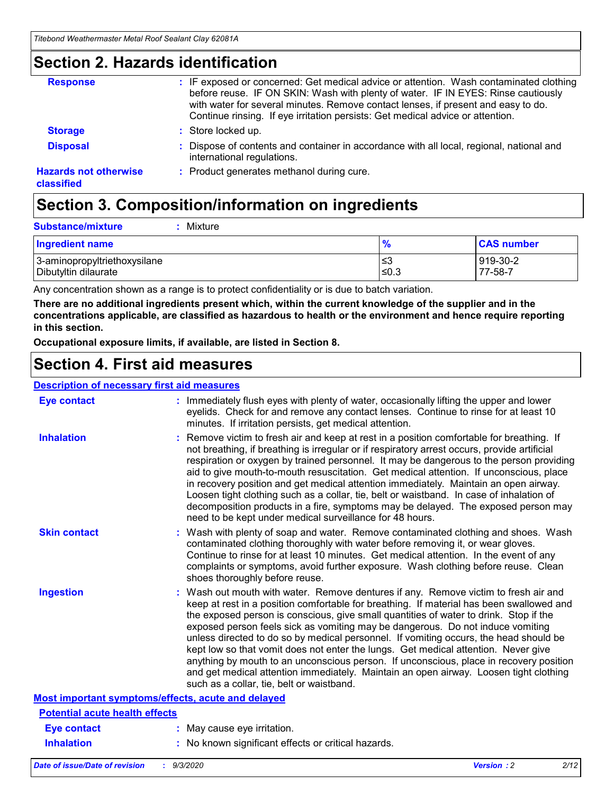### **Section 2. Hazards identification**

| <b>Response</b>                            | : IF exposed or concerned: Get medical advice or attention. Wash contaminated clothing<br>before reuse. IF ON SKIN: Wash with plenty of water. IF IN EYES: Rinse cautiously<br>with water for several minutes. Remove contact lenses, if present and easy to do.<br>Continue rinsing. If eye irritation persists: Get medical advice or attention. |
|--------------------------------------------|----------------------------------------------------------------------------------------------------------------------------------------------------------------------------------------------------------------------------------------------------------------------------------------------------------------------------------------------------|
| <b>Storage</b>                             | : Store locked up.                                                                                                                                                                                                                                                                                                                                 |
| <b>Disposal</b>                            | : Dispose of contents and container in accordance with all local, regional, national and<br>international regulations.                                                                                                                                                                                                                             |
| <b>Hazards not otherwise</b><br>classified | : Product generates methanol during cure.                                                                                                                                                                                                                                                                                                          |

## **Section 3. Composition/information on ingredients**

| <b>Substance/mixture</b> |  | Mixture |
|--------------------------|--|---------|
|--------------------------|--|---------|

| <b>Ingredient name</b>       | $\frac{9}{6}$ | <b>CAS number</b> |
|------------------------------|---------------|-------------------|
| 3-aminopropyltriethoxysilane | ≤3            | 919-30-2          |
| Dibutyltin dilaurate         | ∣≤0.3         | 77-58-7           |

Any concentration shown as a range is to protect confidentiality or is due to batch variation.

**There are no additional ingredients present which, within the current knowledge of the supplier and in the concentrations applicable, are classified as hazardous to health or the environment and hence require reporting in this section.**

**Occupational exposure limits, if available, are listed in Section 8.**

### **Section 4. First aid measures**

| <b>Description of necessary first aid measures</b> |                                                                                                                                                                                                                                                                                                                                                                                                                                                                                                                                                                                                                                                                                                                                                                           |
|----------------------------------------------------|---------------------------------------------------------------------------------------------------------------------------------------------------------------------------------------------------------------------------------------------------------------------------------------------------------------------------------------------------------------------------------------------------------------------------------------------------------------------------------------------------------------------------------------------------------------------------------------------------------------------------------------------------------------------------------------------------------------------------------------------------------------------------|
| <b>Eye contact</b>                                 | : Immediately flush eyes with plenty of water, occasionally lifting the upper and lower<br>eyelids. Check for and remove any contact lenses. Continue to rinse for at least 10<br>minutes. If irritation persists, get medical attention.                                                                                                                                                                                                                                                                                                                                                                                                                                                                                                                                 |
| <b>Inhalation</b>                                  | : Remove victim to fresh air and keep at rest in a position comfortable for breathing. If<br>not breathing, if breathing is irregular or if respiratory arrest occurs, provide artificial<br>respiration or oxygen by trained personnel. It may be dangerous to the person providing<br>aid to give mouth-to-mouth resuscitation. Get medical attention. If unconscious, place<br>in recovery position and get medical attention immediately. Maintain an open airway.<br>Loosen tight clothing such as a collar, tie, belt or waistband. In case of inhalation of<br>decomposition products in a fire, symptoms may be delayed. The exposed person may<br>need to be kept under medical surveillance for 48 hours.                                                       |
| <b>Skin contact</b>                                | : Wash with plenty of soap and water. Remove contaminated clothing and shoes. Wash<br>contaminated clothing thoroughly with water before removing it, or wear gloves.<br>Continue to rinse for at least 10 minutes. Get medical attention. In the event of any<br>complaints or symptoms, avoid further exposure. Wash clothing before reuse. Clean<br>shoes thoroughly before reuse.                                                                                                                                                                                                                                                                                                                                                                                     |
| <b>Ingestion</b>                                   | : Wash out mouth with water. Remove dentures if any. Remove victim to fresh air and<br>keep at rest in a position comfortable for breathing. If material has been swallowed and<br>the exposed person is conscious, give small quantities of water to drink. Stop if the<br>exposed person feels sick as vomiting may be dangerous. Do not induce vomiting<br>unless directed to do so by medical personnel. If vomiting occurs, the head should be<br>kept low so that vomit does not enter the lungs. Get medical attention. Never give<br>anything by mouth to an unconscious person. If unconscious, place in recovery position<br>and get medical attention immediately. Maintain an open airway. Loosen tight clothing<br>such as a collar, tie, belt or waistband. |
| Most important symptoms/effects, acute and delayed |                                                                                                                                                                                                                                                                                                                                                                                                                                                                                                                                                                                                                                                                                                                                                                           |
| <b>Potential acute health effects</b>              |                                                                                                                                                                                                                                                                                                                                                                                                                                                                                                                                                                                                                                                                                                                                                                           |
| Eye contact                                        | : May cause eye irritation.                                                                                                                                                                                                                                                                                                                                                                                                                                                                                                                                                                                                                                                                                                                                               |
| <b>Inhalation</b>                                  | : No known significant effects or critical hazards.                                                                                                                                                                                                                                                                                                                                                                                                                                                                                                                                                                                                                                                                                                                       |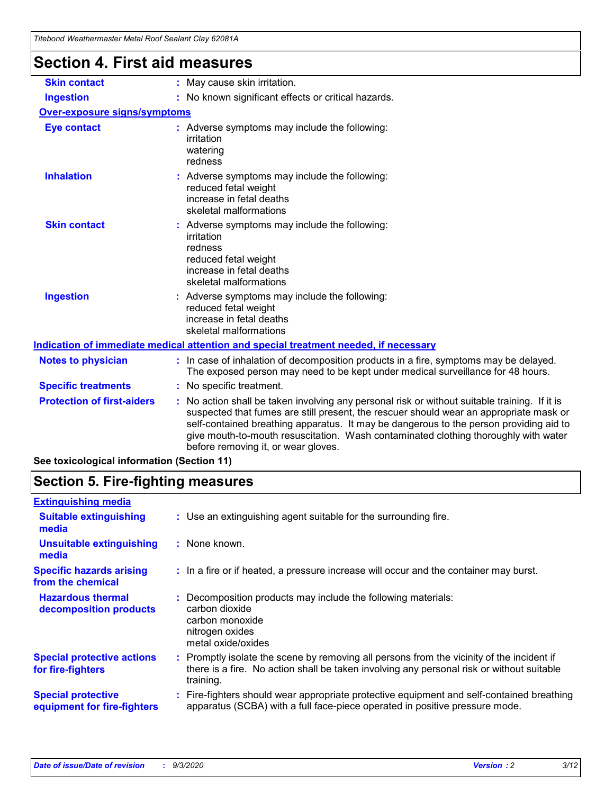| l itebond Weathermaster Metal Roof Sealant Clay 62081A |                                                                                                                                                                                                                                                                                                                                                                                                                 |
|--------------------------------------------------------|-----------------------------------------------------------------------------------------------------------------------------------------------------------------------------------------------------------------------------------------------------------------------------------------------------------------------------------------------------------------------------------------------------------------|
| <b>Section 4. First aid measures</b>                   |                                                                                                                                                                                                                                                                                                                                                                                                                 |
| <b>Skin contact</b>                                    | : May cause skin irritation.                                                                                                                                                                                                                                                                                                                                                                                    |
| <b>Ingestion</b>                                       | : No known significant effects or critical hazards.                                                                                                                                                                                                                                                                                                                                                             |
| <b>Over-exposure signs/symptoms</b>                    |                                                                                                                                                                                                                                                                                                                                                                                                                 |
| <b>Eye contact</b>                                     | : Adverse symptoms may include the following:<br>irritation<br>watering<br>redness                                                                                                                                                                                                                                                                                                                              |
| <b>Inhalation</b>                                      | : Adverse symptoms may include the following:<br>reduced fetal weight<br>increase in fetal deaths<br>skeletal malformations                                                                                                                                                                                                                                                                                     |
| <b>Skin contact</b>                                    | Adverse symptoms may include the following:<br>irritation<br>redness<br>reduced fetal weight<br>increase in fetal deaths<br>skeletal malformations                                                                                                                                                                                                                                                              |
| <b>Ingestion</b>                                       | : Adverse symptoms may include the following:<br>reduced fetal weight<br>increase in fetal deaths<br>skeletal malformations                                                                                                                                                                                                                                                                                     |
|                                                        | Indication of immediate medical attention and special treatment needed, if necessary                                                                                                                                                                                                                                                                                                                            |
| <b>Notes to physician</b>                              | : In case of inhalation of decomposition products in a fire, symptoms may be delayed.<br>The exposed person may need to be kept under medical surveillance for 48 hours.                                                                                                                                                                                                                                        |
| <b>Specific treatments</b>                             | : No specific treatment.                                                                                                                                                                                                                                                                                                                                                                                        |
| <b>Protection of first-aiders</b>                      | : No action shall be taken involving any personal risk or without suitable training. If it is<br>suspected that fumes are still present, the rescuer should wear an appropriate mask or<br>self-contained breathing apparatus. It may be dangerous to the person providing aid to<br>give mouth-to-mouth resuscitation. Wash contaminated clothing thoroughly with water<br>before removing it, or wear gloves. |

**See toxicological information (Section 11)**

## **Section 5. Fire-fighting measures**

| <b>Extinguishing media</b>                               |                                                                                                                                                                                                     |
|----------------------------------------------------------|-----------------------------------------------------------------------------------------------------------------------------------------------------------------------------------------------------|
| <b>Suitable extinguishing</b><br>media                   | : Use an extinguishing agent suitable for the surrounding fire.                                                                                                                                     |
| <b>Unsuitable extinguishing</b><br>media                 | : None known.                                                                                                                                                                                       |
| <b>Specific hazards arising</b><br>from the chemical     | : In a fire or if heated, a pressure increase will occur and the container may burst.                                                                                                               |
| <b>Hazardous thermal</b><br>decomposition products       | : Decomposition products may include the following materials:<br>carbon dioxide<br>carbon monoxide<br>nitrogen oxides<br>metal oxide/oxides                                                         |
| <b>Special protective actions</b><br>for fire-fighters   | : Promptly isolate the scene by removing all persons from the vicinity of the incident if<br>there is a fire. No action shall be taken involving any personal risk or without suitable<br>training. |
| <b>Special protective</b><br>equipment for fire-fighters | Fire-fighters should wear appropriate protective equipment and self-contained breathing<br>apparatus (SCBA) with a full face-piece operated in positive pressure mode.                              |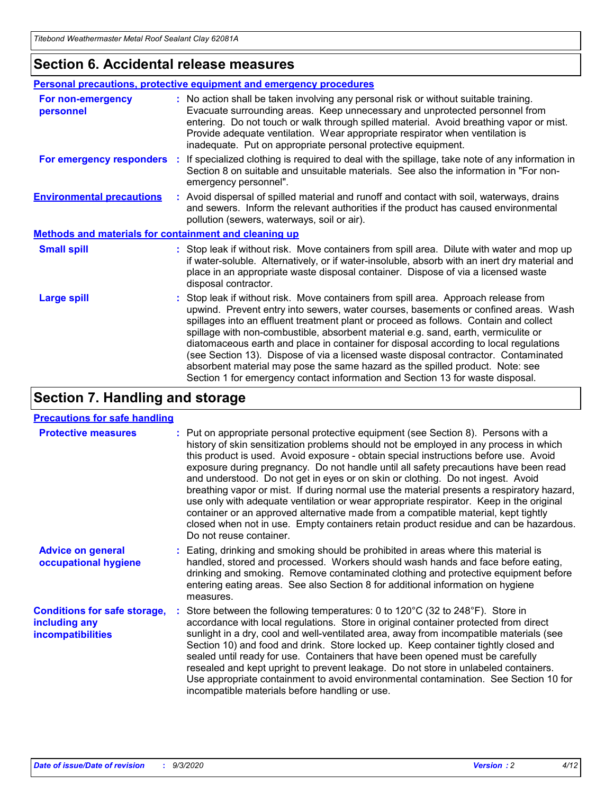### **Section 6. Accidental release measures**

|                                                              | Personal precautions, protective equipment and emergency procedures                                                                                                                                                                                                                                                                                                                                                                                                                                                                                                                                                                                                                                          |  |  |  |
|--------------------------------------------------------------|--------------------------------------------------------------------------------------------------------------------------------------------------------------------------------------------------------------------------------------------------------------------------------------------------------------------------------------------------------------------------------------------------------------------------------------------------------------------------------------------------------------------------------------------------------------------------------------------------------------------------------------------------------------------------------------------------------------|--|--|--|
| For non-emergency<br>personnel                               | : No action shall be taken involving any personal risk or without suitable training.<br>Evacuate surrounding areas. Keep unnecessary and unprotected personnel from<br>entering. Do not touch or walk through spilled material. Avoid breathing vapor or mist.<br>Provide adequate ventilation. Wear appropriate respirator when ventilation is<br>inadequate. Put on appropriate personal protective equipment.                                                                                                                                                                                                                                                                                             |  |  |  |
| For emergency responders                                     | : If specialized clothing is required to deal with the spillage, take note of any information in<br>Section 8 on suitable and unsuitable materials. See also the information in "For non-<br>emergency personnel".                                                                                                                                                                                                                                                                                                                                                                                                                                                                                           |  |  |  |
| <b>Environmental precautions</b>                             | : Avoid dispersal of spilled material and runoff and contact with soil, waterways, drains<br>and sewers. Inform the relevant authorities if the product has caused environmental<br>pollution (sewers, waterways, soil or air).                                                                                                                                                                                                                                                                                                                                                                                                                                                                              |  |  |  |
| <b>Methods and materials for containment and cleaning up</b> |                                                                                                                                                                                                                                                                                                                                                                                                                                                                                                                                                                                                                                                                                                              |  |  |  |
| <b>Small spill</b>                                           | : Stop leak if without risk. Move containers from spill area. Dilute with water and mop up<br>if water-soluble. Alternatively, or if water-insoluble, absorb with an inert dry material and<br>place in an appropriate waste disposal container. Dispose of via a licensed waste<br>disposal contractor.                                                                                                                                                                                                                                                                                                                                                                                                     |  |  |  |
| <b>Large spill</b>                                           | : Stop leak if without risk. Move containers from spill area. Approach release from<br>upwind. Prevent entry into sewers, water courses, basements or confined areas. Wash<br>spillages into an effluent treatment plant or proceed as follows. Contain and collect<br>spillage with non-combustible, absorbent material e.g. sand, earth, vermiculite or<br>diatomaceous earth and place in container for disposal according to local regulations<br>(see Section 13). Dispose of via a licensed waste disposal contractor. Contaminated<br>absorbent material may pose the same hazard as the spilled product. Note: see<br>Section 1 for emergency contact information and Section 13 for waste disposal. |  |  |  |

## **Section 7. Handling and storage**

### **Precautions for safe handling**

| <b>Protective measures</b>                                                       | : Put on appropriate personal protective equipment (see Section 8). Persons with a<br>history of skin sensitization problems should not be employed in any process in which<br>this product is used. Avoid exposure - obtain special instructions before use. Avoid<br>exposure during pregnancy. Do not handle until all safety precautions have been read<br>and understood. Do not get in eyes or on skin or clothing. Do not ingest. Avoid<br>breathing vapor or mist. If during normal use the material presents a respiratory hazard,<br>use only with adequate ventilation or wear appropriate respirator. Keep in the original<br>container or an approved alternative made from a compatible material, kept tightly<br>closed when not in use. Empty containers retain product residue and can be hazardous.<br>Do not reuse container. |
|----------------------------------------------------------------------------------|--------------------------------------------------------------------------------------------------------------------------------------------------------------------------------------------------------------------------------------------------------------------------------------------------------------------------------------------------------------------------------------------------------------------------------------------------------------------------------------------------------------------------------------------------------------------------------------------------------------------------------------------------------------------------------------------------------------------------------------------------------------------------------------------------------------------------------------------------|
| <b>Advice on general</b><br>occupational hygiene                                 | : Eating, drinking and smoking should be prohibited in areas where this material is<br>handled, stored and processed. Workers should wash hands and face before eating,<br>drinking and smoking. Remove contaminated clothing and protective equipment before<br>entering eating areas. See also Section 8 for additional information on hygiene<br>measures.                                                                                                                                                                                                                                                                                                                                                                                                                                                                                    |
| <b>Conditions for safe storage,</b><br>including any<br><i>incompatibilities</i> | Store between the following temperatures: 0 to $120^{\circ}$ C (32 to $248^{\circ}$ F). Store in<br>accordance with local regulations. Store in original container protected from direct<br>sunlight in a dry, cool and well-ventilated area, away from incompatible materials (see<br>Section 10) and food and drink. Store locked up. Keep container tightly closed and<br>sealed until ready for use. Containers that have been opened must be carefully<br>resealed and kept upright to prevent leakage. Do not store in unlabeled containers.<br>Use appropriate containment to avoid environmental contamination. See Section 10 for<br>incompatible materials before handling or use.                                                                                                                                                     |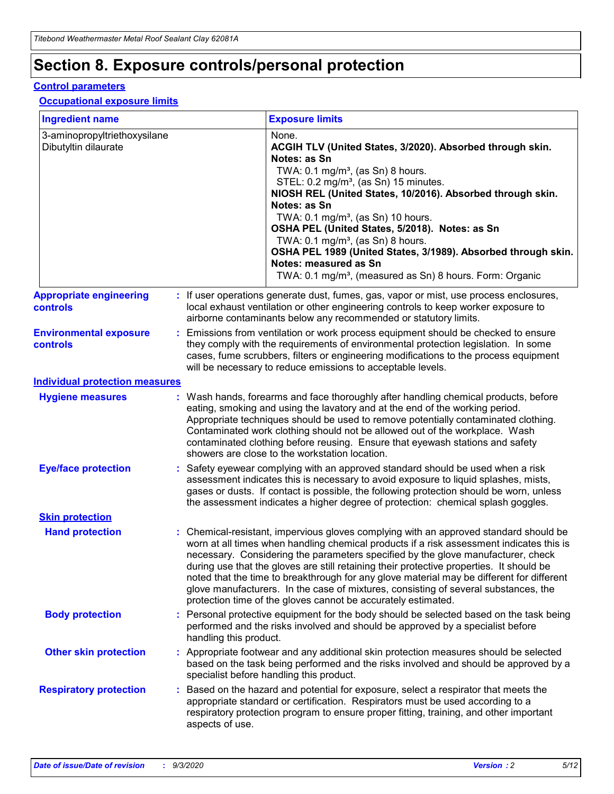## **Section 8. Exposure controls/personal protection**

### **Control parameters**

#### **Occupational exposure limits**

| <b>Ingredient name</b>                               |    |                        | <b>Exposure limits</b>                                                                                                                                                                                                                                                                                                                                                                                                                                                                                                                                                                                                 |
|------------------------------------------------------|----|------------------------|------------------------------------------------------------------------------------------------------------------------------------------------------------------------------------------------------------------------------------------------------------------------------------------------------------------------------------------------------------------------------------------------------------------------------------------------------------------------------------------------------------------------------------------------------------------------------------------------------------------------|
| 3-aminopropyltriethoxysilane<br>Dibutyltin dilaurate |    |                        | None.<br>ACGIH TLV (United States, 3/2020). Absorbed through skin.<br>Notes: as Sn<br>TWA: $0.1 \text{ mg/m}^3$ , (as Sn) 8 hours.<br>STEL: 0.2 mg/m <sup>3</sup> , (as Sn) 15 minutes.<br>NIOSH REL (United States, 10/2016). Absorbed through skin.<br>Notes: as Sn<br>TWA: 0.1 mg/m <sup>3</sup> , (as Sn) 10 hours.<br>OSHA PEL (United States, 5/2018). Notes: as Sn<br>TWA: $0.1 \text{ mg/m}^3$ , (as Sn) 8 hours.<br>OSHA PEL 1989 (United States, 3/1989). Absorbed through skin.<br>Notes: measured as Sn<br>TWA: 0.1 mg/m <sup>3</sup> , (measured as Sn) 8 hours. Form: Organic                            |
| <b>Appropriate engineering</b><br>controls           |    |                        | : If user operations generate dust, fumes, gas, vapor or mist, use process enclosures,<br>local exhaust ventilation or other engineering controls to keep worker exposure to<br>airborne contaminants below any recommended or statutory limits.                                                                                                                                                                                                                                                                                                                                                                       |
| <b>Environmental exposure</b><br>controls            |    |                        | Emissions from ventilation or work process equipment should be checked to ensure<br>they comply with the requirements of environmental protection legislation. In some<br>cases, fume scrubbers, filters or engineering modifications to the process equipment<br>will be necessary to reduce emissions to acceptable levels.                                                                                                                                                                                                                                                                                          |
| <b>Individual protection measures</b>                |    |                        |                                                                                                                                                                                                                                                                                                                                                                                                                                                                                                                                                                                                                        |
| <b>Hygiene measures</b>                              |    |                        | : Wash hands, forearms and face thoroughly after handling chemical products, before<br>eating, smoking and using the lavatory and at the end of the working period.<br>Appropriate techniques should be used to remove potentially contaminated clothing.<br>Contaminated work clothing should not be allowed out of the workplace. Wash<br>contaminated clothing before reusing. Ensure that eyewash stations and safety<br>showers are close to the workstation location.                                                                                                                                            |
| <b>Eye/face protection</b>                           |    |                        | : Safety eyewear complying with an approved standard should be used when a risk<br>assessment indicates this is necessary to avoid exposure to liquid splashes, mists,<br>gases or dusts. If contact is possible, the following protection should be worn, unless<br>the assessment indicates a higher degree of protection: chemical splash goggles.                                                                                                                                                                                                                                                                  |
| <b>Skin protection</b>                               |    |                        |                                                                                                                                                                                                                                                                                                                                                                                                                                                                                                                                                                                                                        |
| <b>Hand protection</b>                               |    |                        | : Chemical-resistant, impervious gloves complying with an approved standard should be<br>worn at all times when handling chemical products if a risk assessment indicates this is<br>necessary. Considering the parameters specified by the glove manufacturer, check<br>during use that the gloves are still retaining their protective properties. It should be<br>noted that the time to breakthrough for any glove material may be different for different<br>glove manufacturers. In the case of mixtures, consisting of several substances, the<br>protection time of the gloves cannot be accurately estimated. |
| <b>Body protection</b>                               |    | handling this product. | Personal protective equipment for the body should be selected based on the task being<br>performed and the risks involved and should be approved by a specialist before                                                                                                                                                                                                                                                                                                                                                                                                                                                |
| <b>Other skin protection</b>                         |    |                        | : Appropriate footwear and any additional skin protection measures should be selected<br>based on the task being performed and the risks involved and should be approved by a<br>specialist before handling this product.                                                                                                                                                                                                                                                                                                                                                                                              |
| <b>Respiratory protection</b>                        | ÷. | aspects of use.        | Based on the hazard and potential for exposure, select a respirator that meets the<br>appropriate standard or certification. Respirators must be used according to a<br>respiratory protection program to ensure proper fitting, training, and other important                                                                                                                                                                                                                                                                                                                                                         |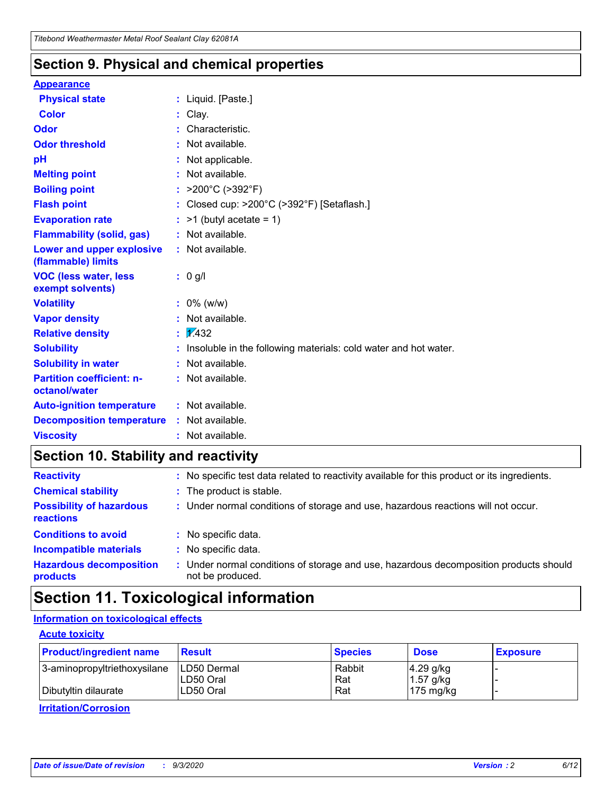### **Section 9. Physical and chemical properties**

#### **Appearance**

| <b>Physical state</b>                             | : Liquid. [Paste.]                                              |
|---------------------------------------------------|-----------------------------------------------------------------|
| <b>Color</b>                                      | Clay.                                                           |
| Odor                                              | Characteristic.                                                 |
| <b>Odor threshold</b>                             | Not available.                                                  |
| pH                                                | Not applicable.                                                 |
| <b>Melting point</b>                              | : Not available.                                                |
| <b>Boiling point</b>                              | : $>200^{\circ}$ C ( $>392^{\circ}$ F)                          |
| <b>Flash point</b>                                | Closed cup: >200°C (>392°F) [Setaflash.]                        |
| <b>Evaporation rate</b>                           | $:$ >1 (butyl acetate = 1)                                      |
| <b>Flammability (solid, gas)</b>                  | : Not available.                                                |
| Lower and upper explosive<br>(flammable) limits   | $:$ Not available.                                              |
| <b>VOC (less water, less</b><br>exempt solvents)  | : 0 g/l                                                         |
| <b>Volatility</b>                                 | $: 0\%$ (w/w)                                                   |
| <b>Vapor density</b>                              | Not available.                                                  |
| <b>Relative density</b>                           | $\frac{1}{2}$ 2.432                                             |
| <b>Solubility</b>                                 | Insoluble in the following materials: cold water and hot water. |
| <b>Solubility in water</b>                        | Not available.                                                  |
| <b>Partition coefficient: n-</b><br>octanol/water | : Not available.                                                |
| <b>Auto-ignition temperature</b>                  | : Not available.                                                |
| <b>Decomposition temperature</b>                  | $:$ Not available.                                              |
| <b>Viscosity</b>                                  | $:$ Not available.                                              |

## **Section 10. Stability and reactivity**

| <b>Reactivity</b>                            |    | : No specific test data related to reactivity available for this product or its ingredients.            |
|----------------------------------------------|----|---------------------------------------------------------------------------------------------------------|
| <b>Chemical stability</b>                    |    | : The product is stable.                                                                                |
| <b>Possibility of hazardous</b><br>reactions |    | : Under normal conditions of storage and use, hazardous reactions will not occur.                       |
| <b>Conditions to avoid</b>                   |    | : No specific data.                                                                                     |
| <b>Incompatible materials</b>                | ٠. | No specific data.                                                                                       |
| <b>Hazardous decomposition</b><br>products   | ÷. | Under normal conditions of storage and use, hazardous decomposition products should<br>not be produced. |

## **Section 11. Toxicological information**

### **Information on toxicological effects**

### **Acute toxicity**

| <b>Product/ingredient name</b> | <b>Result</b>           | <b>Species</b> | <b>Dose</b>                | <b>Exposure</b> |
|--------------------------------|-------------------------|----------------|----------------------------|-----------------|
| 3-aminopropyltriethoxysilane   | <b>ILD50 Dermal</b>     | Rabbit         | 4.29 g/kg                  |                 |
| Dibutyltin dilaurate           | ILD50 Oral<br>LD50 Oral | Rat<br>Rat     | $1.57$ g/kg<br>175 $mg/kg$ |                 |
|                                |                         |                |                            |                 |

**Irritation/Corrosion**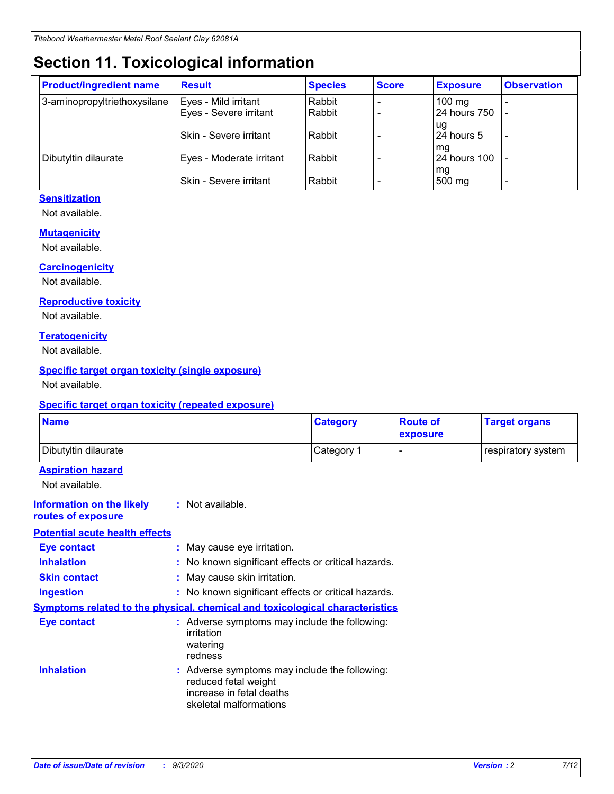## **Section 11. Toxicological information**

| <b>Product/ingredient name</b> | <b>Result</b>            | <b>Species</b> | <b>Score</b> | <b>Exposure</b>           | <b>Observation</b> |
|--------------------------------|--------------------------|----------------|--------------|---------------------------|--------------------|
| 3-aminopropyltriethoxysilane   | Eyes - Mild irritant     | Rabbit         |              | $100$ mg                  |                    |
|                                | Eyes - Severe irritant   | Rabbit         |              | 24 hours 750              |                    |
|                                |                          |                |              | ug                        |                    |
|                                | Skin - Severe irritant   | Rabbit         |              | 24 hours 5                | -                  |
| Dibutyltin dilaurate           | Eyes - Moderate irritant | Rabbit         |              | mg<br><b>24 hours 100</b> |                    |
|                                |                          |                |              | mg                        |                    |
|                                | Skin - Severe irritant   | Rabbit         |              | 500 mg                    | -                  |

### **Sensitization**

Not available.

### **Mutagenicity**

Not available.

#### **Carcinogenicity**

Not available.

#### **Reproductive toxicity**

Not available.

### **Teratogenicity**

Not available.

### **Specific target organ toxicity (single exposure)**

Not available.

### **Specific target organ toxicity (repeated exposure)**

| <b>Name</b>                                                                         |                                                                            | <b>Category</b>                                     | <b>Route of</b><br>exposure | <b>Target organs</b> |  |  |
|-------------------------------------------------------------------------------------|----------------------------------------------------------------------------|-----------------------------------------------------|-----------------------------|----------------------|--|--|
| Dibutyltin dilaurate                                                                |                                                                            | Category 1                                          | -                           | respiratory system   |  |  |
| <b>Aspiration hazard</b><br>Not available.                                          |                                                                            |                                                     |                             |                      |  |  |
| <b>Information on the likely</b><br>routes of exposure                              | : Not available.                                                           |                                                     |                             |                      |  |  |
| <b>Potential acute health effects</b>                                               |                                                                            |                                                     |                             |                      |  |  |
| <b>Eye contact</b>                                                                  | : May cause eye irritation.                                                |                                                     |                             |                      |  |  |
| <b>Inhalation</b>                                                                   |                                                                            | : No known significant effects or critical hazards. |                             |                      |  |  |
| <b>Skin contact</b>                                                                 |                                                                            | : May cause skin irritation.                        |                             |                      |  |  |
| <b>Ingestion</b>                                                                    |                                                                            | : No known significant effects or critical hazards. |                             |                      |  |  |
| <b>Symptoms related to the physical, chemical and toxicological characteristics</b> |                                                                            |                                                     |                             |                      |  |  |
| <b>Eye contact</b>                                                                  | irritation<br>watering<br>redness                                          | : Adverse symptoms may include the following:       |                             |                      |  |  |
| <b>Inhalation</b>                                                                   | reduced fetal weight<br>increase in fetal deaths<br>skeletal malformations | : Adverse symptoms may include the following:       |                             |                      |  |  |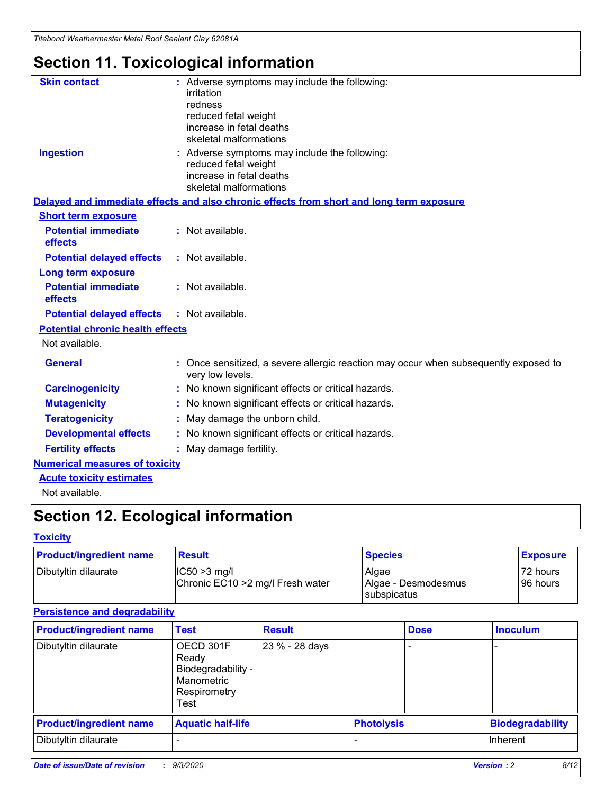*Titebond Weathermaster Metal Roof Sealant Clay 62081A*

## **Section 11. Toxicological information**

| <b>Skin contact</b>                     | irritation<br>redness<br>reduced fetal weight<br>increase in fetal deaths<br>skeletal malformations | : Adverse symptoms may include the following:                                            |
|-----------------------------------------|-----------------------------------------------------------------------------------------------------|------------------------------------------------------------------------------------------|
| <b>Ingestion</b>                        | reduced fetal weight<br>increase in fetal deaths<br>skeletal malformations                          | : Adverse symptoms may include the following:                                            |
|                                         |                                                                                                     | Delayed and immediate effects and also chronic effects from short and long term exposure |
| <b>Short term exposure</b>              |                                                                                                     |                                                                                          |
| <b>Potential immediate</b><br>effects   | : Not available.                                                                                    |                                                                                          |
| <b>Potential delayed effects</b>        | : Not available.                                                                                    |                                                                                          |
| <b>Long term exposure</b>               |                                                                                                     |                                                                                          |
| <b>Potential immediate</b><br>effects   | : Not available.                                                                                    |                                                                                          |
| <b>Potential delayed effects</b>        | : Not available.                                                                                    |                                                                                          |
| <b>Potential chronic health effects</b> |                                                                                                     |                                                                                          |
| Not available.                          |                                                                                                     |                                                                                          |
| <b>General</b>                          | very low levels.                                                                                    | : Once sensitized, a severe allergic reaction may occur when subsequently exposed to     |
| <b>Carcinogenicity</b>                  |                                                                                                     | : No known significant effects or critical hazards.                                      |
| <b>Mutagenicity</b>                     |                                                                                                     | No known significant effects or critical hazards.                                        |
| <b>Teratogenicity</b>                   |                                                                                                     | May damage the unborn child.                                                             |
| <b>Developmental effects</b>            |                                                                                                     | : No known significant effects or critical hazards.                                      |
| <b>Fertility effects</b>                | May damage fertility.                                                                               |                                                                                          |
| <b>Numerical measures of toxicity</b>   |                                                                                                     |                                                                                          |
| <b>Acute toxicity estimates</b>         |                                                                                                     |                                                                                          |
| Not available.                          |                                                                                                     |                                                                                          |

## **Section 12. Ecological information**

### **Toxicity**

| <b>Product/ingredient name</b> | <b>Result</b>                                       | <b>Species</b>               | <b>Exposure</b>       |
|--------------------------------|-----------------------------------------------------|------------------------------|-----------------------|
| Dibutyltin dilaurate           | $ IC50>3$ mg/l<br>Chronic EC10 > 2 mg/l Fresh water | Algae<br>Algae - Desmodesmus | 72 hours<br>196 hours |
|                                |                                                     | subspicatus                  |                       |

### **Persistence and degradability**

| <b>Product/ingredient name</b> | <b>Test</b>                                                                    | <b>Result</b>  |                   | <b>Dose</b> | <b>Inoculum</b>         |
|--------------------------------|--------------------------------------------------------------------------------|----------------|-------------------|-------------|-------------------------|
| Dibutyltin dilaurate           | OECD 301F<br>Ready<br>Biodegradability -<br>Manometric<br>Respirometry<br>Test | 23 % - 28 days |                   |             |                         |
| <b>Product/ingredient name</b> | <b>Aquatic half-life</b>                                                       |                | <b>Photolysis</b> |             | <b>Biodegradability</b> |
| Dibutyltin dilaurate           |                                                                                |                |                   |             | <b>Inherent</b>         |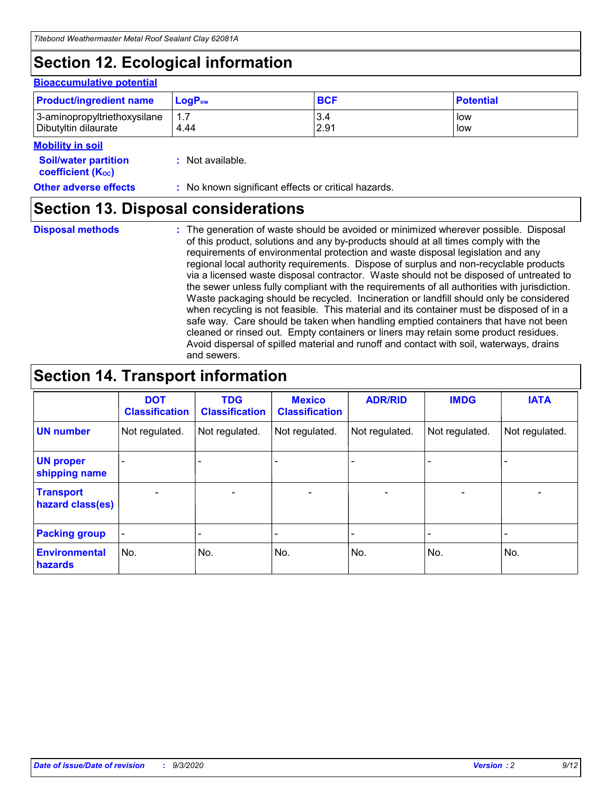## **Section 12. Ecological information**

### **Bioaccumulative potential**

| <b>Product/ingredient name</b> | $LoaPow$ | <b>BCF</b> | <b>Potential</b> |
|--------------------------------|----------|------------|------------------|
| 3-aminopropyltriethoxysilane   | 1.7      | 3.4        | low              |
| Dibutyltin dilaurate           | 4.44     | 2.91       | low              |

### **Mobility in soil**

| <b>MODINA IN SON</b>                                          |                                                     |
|---------------------------------------------------------------|-----------------------------------------------------|
| <b>Soil/water partition</b><br>coefficient (K <sub>oc</sub> ) | : Not available.                                    |
| <b>Other adverse effects</b>                                  | : No known significant effects or critical hazards. |

## **Section 13. Disposal considerations**

**Disposal methods :**

The generation of waste should be avoided or minimized wherever possible. Disposal of this product, solutions and any by-products should at all times comply with the requirements of environmental protection and waste disposal legislation and any regional local authority requirements. Dispose of surplus and non-recyclable products via a licensed waste disposal contractor. Waste should not be disposed of untreated to the sewer unless fully compliant with the requirements of all authorities with jurisdiction. Waste packaging should be recycled. Incineration or landfill should only be considered when recycling is not feasible. This material and its container must be disposed of in a safe way. Care should be taken when handling emptied containers that have not been cleaned or rinsed out. Empty containers or liners may retain some product residues. Avoid dispersal of spilled material and runoff and contact with soil, waterways, drains and sewers.

## **Section 14. Transport information**

|                                      | <b>DOT</b><br><b>Classification</b> | <b>TDG</b><br><b>Classification</b> | <b>Mexico</b><br><b>Classification</b> | <b>ADR/RID</b>           | <b>IMDG</b>              | <b>IATA</b>    |
|--------------------------------------|-------------------------------------|-------------------------------------|----------------------------------------|--------------------------|--------------------------|----------------|
| <b>UN number</b>                     | Not regulated.                      | Not regulated.                      | Not regulated.                         | Not regulated.           | Not regulated.           | Not regulated. |
| <b>UN proper</b><br>shipping name    |                                     |                                     |                                        |                          |                          |                |
| <b>Transport</b><br>hazard class(es) | $\qquad \qquad \blacksquare$        | $\overline{\phantom{0}}$            | $\overline{\phantom{a}}$               | $\overline{\phantom{0}}$ | $\overline{\phantom{0}}$ | $\blacksquare$ |
| <b>Packing group</b>                 |                                     |                                     |                                        |                          |                          |                |
| <b>Environmental</b><br>hazards      | No.                                 | No.                                 | No.                                    | No.                      | No.                      | No.            |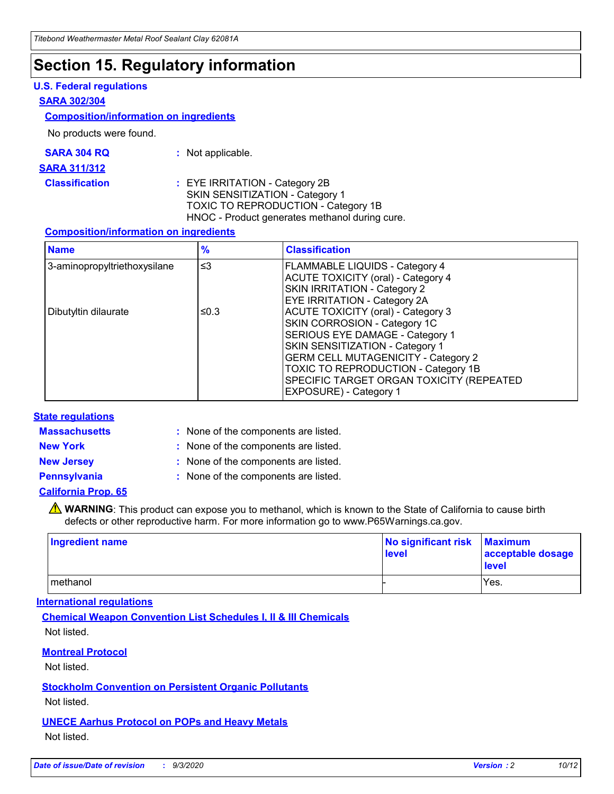## **Section 15. Regulatory information**

### **U.S. Federal regulations**

#### **SARA 302/304**

### **Composition/information on ingredients**

No products were found.

| SARA 304 RQ | Not applicable. |
|-------------|-----------------|
|-------------|-----------------|

#### **SARA 311/312**

**Classification :** EYE IRRITATION - Category 2B SKIN SENSITIZATION - Category 1 TOXIC TO REPRODUCTION - Category 1B HNOC - Product generates methanol during cure.

### **Composition/information on ingredients**

| <b>Name</b>                  | $\frac{9}{6}$ | <b>Classification</b>                                                                                                                                                                                                                                                                                      |
|------------------------------|---------------|------------------------------------------------------------------------------------------------------------------------------------------------------------------------------------------------------------------------------------------------------------------------------------------------------------|
| 3-aminopropyltriethoxysilane | $\leq$ 3      | <b>FLAMMABLE LIQUIDS - Category 4</b><br><b>ACUTE TOXICITY (oral) - Category 4</b><br><b>SKIN IRRITATION - Category 2</b><br>EYE IRRITATION - Category 2A                                                                                                                                                  |
| Dibutyltin dilaurate         | ≤0.3          | <b>ACUTE TOXICITY (oral) - Category 3</b><br>SKIN CORROSION - Category 1C<br>SERIOUS EYE DAMAGE - Category 1<br>SKIN SENSITIZATION - Category 1<br><b>GERM CELL MUTAGENICITY - Category 2</b><br>TOXIC TO REPRODUCTION - Category 1B<br>SPECIFIC TARGET ORGAN TOXICITY (REPEATED<br>EXPOSURE) - Category 1 |

### **State regulations**

**Massachusetts :**

: None of the components are listed.

**New York :** None of the components are listed. **New Jersey :** None of the components are listed.

**Pennsylvania :** None of the components are listed.

### **California Prop. 65**

WARNING: This product can expose you to methanol, which is known to the State of California to cause birth defects or other reproductive harm. For more information go to www.P65Warnings.ca.gov.

| Ingredient name | No significant risk Maximum<br>level | acceptable dosage<br><b>level</b> |
|-----------------|--------------------------------------|-----------------------------------|
| I methanol      |                                      | Yes.                              |

### **International regulations**

**Chemical Weapon Convention List Schedules I, II & III Chemicals** Not listed.

**Montreal Protocol**

Not listed.

**Stockholm Convention on Persistent Organic Pollutants**

Not listed.

**UNECE Aarhus Protocol on POPs and Heavy Metals** Not listed.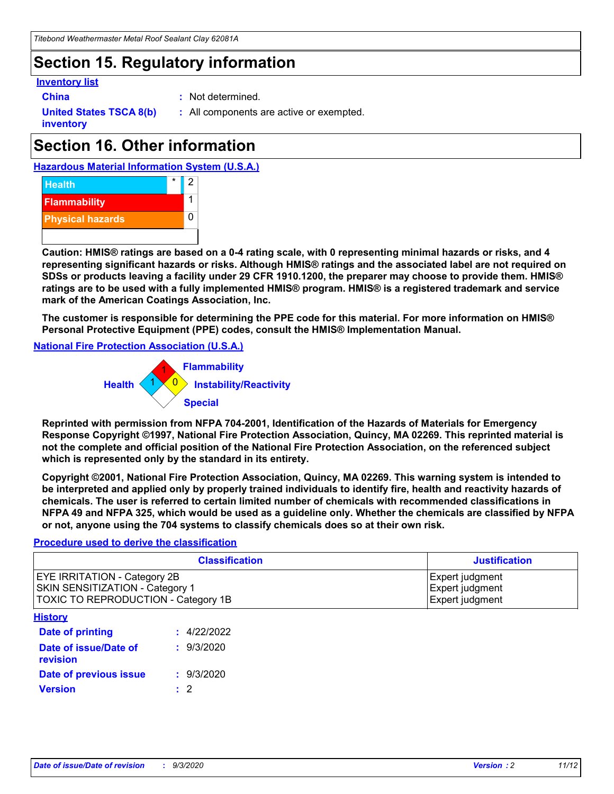## **Section 15. Regulatory information**

### **Inventory list**

- 
- **China :** Not determined.

**United States TSCA 8(b) inventory**

**:** All components are active or exempted.

## **Section 16. Other information**





**Caution: HMIS® ratings are based on a 0-4 rating scale, with 0 representing minimal hazards or risks, and 4 representing significant hazards or risks. Although HMIS® ratings and the associated label are not required on SDSs or products leaving a facility under 29 CFR 1910.1200, the preparer may choose to provide them. HMIS® ratings are to be used with a fully implemented HMIS® program. HMIS® is a registered trademark and service mark of the American Coatings Association, Inc.**

**The customer is responsible for determining the PPE code for this material. For more information on HMIS® Personal Protective Equipment (PPE) codes, consult the HMIS® Implementation Manual.**

**National Fire Protection Association (U.S.A.)**



**Reprinted with permission from NFPA 704-2001, Identification of the Hazards of Materials for Emergency Response Copyright ©1997, National Fire Protection Association, Quincy, MA 02269. This reprinted material is not the complete and official position of the National Fire Protection Association, on the referenced subject which is represented only by the standard in its entirety.**

**Copyright ©2001, National Fire Protection Association, Quincy, MA 02269. This warning system is intended to be interpreted and applied only by properly trained individuals to identify fire, health and reactivity hazards of chemicals. The user is referred to certain limited number of chemicals with recommended classifications in NFPA 49 and NFPA 325, which would be used as a guideline only. Whether the chemicals are classified by NFPA or not, anyone using the 704 systems to classify chemicals does so at their own risk.**

### **Procedure used to derive the classification**

| <b>Classification</b>                                                                                                | <b>Justification</b>                                  |
|----------------------------------------------------------------------------------------------------------------------|-------------------------------------------------------|
| <b>EYE IRRITATION - Category 2B</b><br><b>SKIN SENSITIZATION - Category 1</b><br>TOXIC TO REPRODUCTION - Category 1B | Expert judgment<br>Expert judgment<br>Expert judgment |
| <b>History</b>                                                                                                       |                                                       |

| <b>Date of printing</b>           | : 4/22/2022 |
|-----------------------------------|-------------|
| Date of issue/Date of<br>revision | : 9/3/2020  |
| Date of previous issue            | : 9/3/2020  |
| <b>Version</b>                    | $\cdot$ 2   |